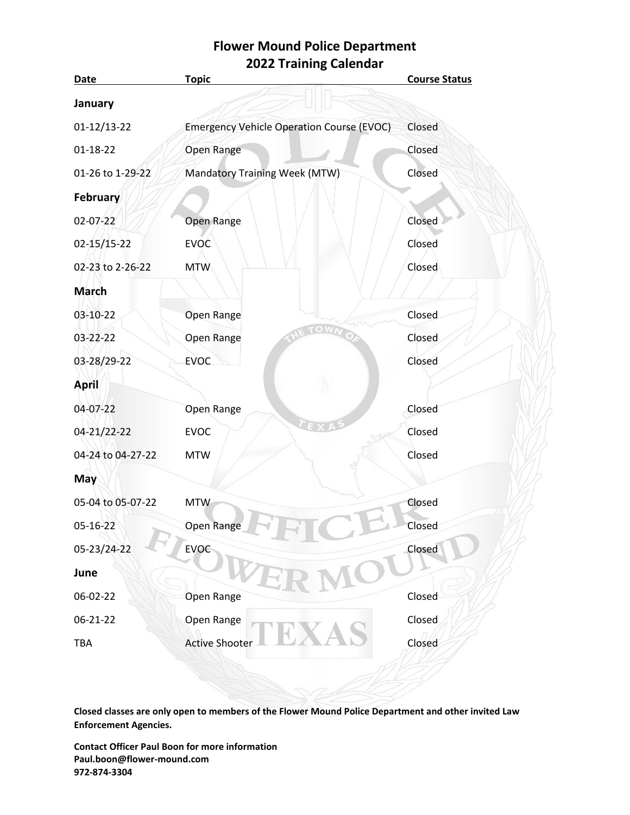## **Flower Mound Police Department 2022 Training Calendar**

| <b>Date</b>       | <b>Topic</b>                                     | <b>Course Status</b> |
|-------------------|--------------------------------------------------|----------------------|
| January           |                                                  |                      |
| 01-12/13-22       | <b>Emergency Vehicle Operation Course (EVOC)</b> | Closed               |
| 01-18-22          | Open Range                                       | Closed               |
| 01-26 to 1-29-22  | Mandatory Training Week (MTW)                    | Closed               |
| February          |                                                  |                      |
| 02-07-22          | Open Range                                       | Closed               |
| 02-15/15-22       | <b>EVOC</b>                                      | Closed               |
| 02-23 to 2-26-22  | <b>MTW</b>                                       | Closed               |
| <b>March</b>      |                                                  |                      |
| 03-10-22          | Open Range                                       | Closed               |
| 03-22-22          | Open Range                                       | Closed               |
| 03-28/29-22       | <b>EVOC</b>                                      | Closed               |
| April             |                                                  |                      |
| 04-07-22          | Open Range                                       | Closed               |
| 04-21/22-22       | EXT<br><b>EVOC</b>                               | Closed               |
| 04-24 to 04-27-22 | <b>MTW</b>                                       | Closed               |
| May               |                                                  |                      |
| 05-04 to 05-07-22 | <b>MTW</b>                                       | Closed               |
| 05-16-22          | Open Range                                       | Closed               |
| 05-23/24-22       | EVOC                                             | Closed               |
| June              |                                                  |                      |
| 06-02-22          | Open Range                                       | Closed               |
| 06-21-22          | Open Range                                       | Closed               |
| TBA               | <b>Active Shooter</b>                            | Closed               |
|                   |                                                  |                      |

**Closed classes are only open to members of the Flower Mound Police Department and other invited Law Enforcement Agencies.**

**Contact Officer Paul Boon for more information Paul.boon@flower-mound.com 972-874-3304**